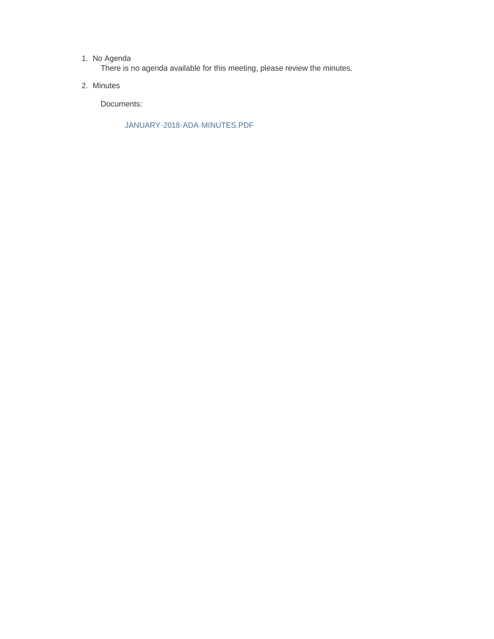#### 1. No Agenda

There is no agenda available for this meeting, please review the minutes.

2. Minutes

Documents:

JANUARY-2018-ADA-MINUTES.PDF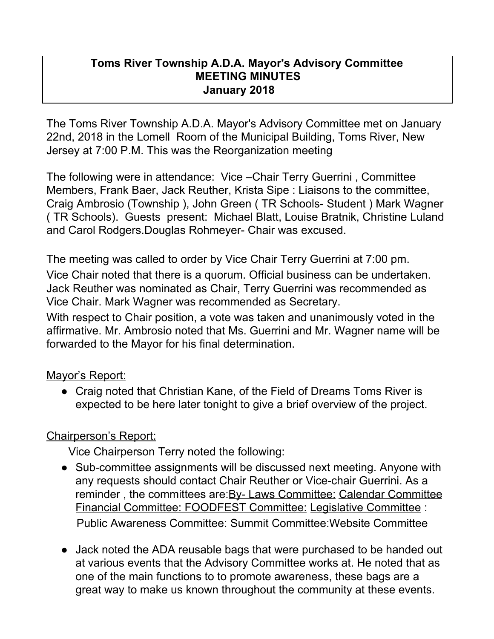### **Toms River Township A.D.A. Mayor's Advisory Committee MEETING MINUTES January 2018**

The Toms River Township A.D.A. Mayor's Advisory Committee met on January 22nd, 2018 in the Lomell Room of the Municipal Building, Toms River, New Jersey at 7:00 P.M. This was the Reorganization meeting

The following were in attendance: Vice –Chair Terry Guerrini , Committee Members, Frank Baer, Jack Reuther, Krista Sipe : Liaisons to the committee, Craig Ambrosio (Township ), John Green ( TR Schools- Student ) Mark Wagner ( TR Schools). Guests present: Michael Blatt, Louise Bratnik, Christine Luland and Carol Rodgers.Douglas Rohmeyer- Chair was excused.

The meeting was called to order by Vice Chair Terry Guerrini at 7:00 pm. Vice Chair noted that there is a quorum. Official business can be undertaken. Jack Reuther was nominated as Chair, Terry Guerrini was recommended as Vice Chair. Mark Wagner was recommended as Secretary.

With respect to Chair position, a vote was taken and unanimously voted in the affirmative. Mr. Ambrosio noted that Ms. Guerrini and Mr. Wagner name will be forwarded to the Mayor for his final determination.

Mayor's Report:

• Craig noted that Christian Kane, of the Field of Dreams Toms River is expected to be here later tonight to give a brief overview of the project.

# Chairperson's Report:

Vice Chairperson Terry noted the following:

- Sub-committee assignments will be discussed next meeting. Anyone with any requests should contact Chair Reuther or Vice-chair Guerrini. As a reminder, the committees are: By- Laws Committee: Calendar Committee Financial Committee: FOODFEST Committee: Legislative Committee : Public Awareness Committee: Summit Committee:Website Committee
- Jack noted the ADA reusable bags that were purchased to be handed out at various events that the Advisory Committee works at. He noted that as one of the main functions to to promote awareness, these bags are a great way to make us known throughout the community at these events.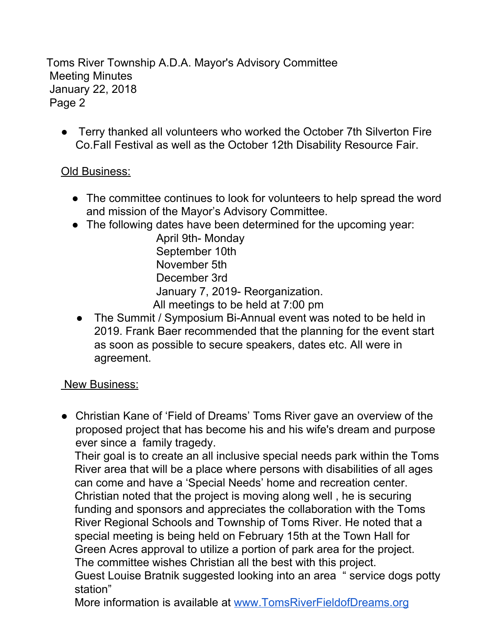Toms River Township A.D.A. Mayor's Advisory Committee Meeting Minutes January 22, 2018 Page 2

● Terry thanked all volunteers who worked the October 7th Silverton Fire Co.Fall Festival as well as the October 12th Disability Resource Fair.

### Old Business:

- The committee continues to look for volunteers to help spread the word and mission of the Mayor's Advisory Committee.
- The following dates have been determined for the upcoming year:

April 9th- Monday September 10th November 5th December 3rd January 7, 2019- Reorganization. All meetings to be held at 7:00 pm

• The Summit / Symposium Bi-Annual event was noted to be held in 2019. Frank Baer recommended that the planning for the event start as soon as possible to secure speakers, dates etc. All were in agreement.

#### New Business:

● Christian Kane of 'Field of Dreams' Toms River gave an overview of the proposed project that has become his and his wife's dream and purpose ever since a family tragedy.

Their goal is to create an all inclusive special needs park within the Toms River area that will be a place where persons with disabilities of all ages can come and have a 'Special Needs' home and recreation center. Christian noted that the project is moving along well , he is securing funding and sponsors and appreciates the collaboration with the Toms River Regional Schools and Township of Toms River. He noted that a special meeting is being held on February 15th at the Town Hall for Green Acres approval to utilize a portion of park area for the project. The committee wishes Christian all the best with this project.

Guest Louise Bratnik suggested looking into an area " service dogs potty station"

More information is available at [www.TomsRiverFieldofDreams.org](http://www.tomsriverfieldofdreams.org/)